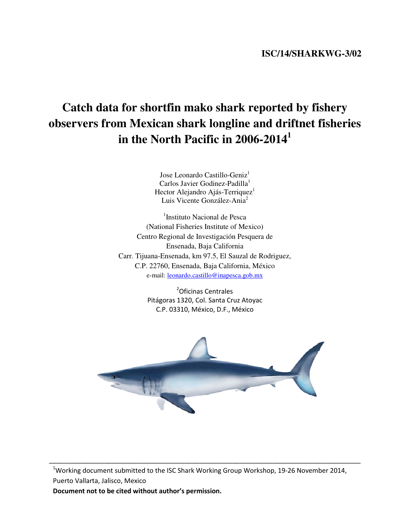## **ISC/14/SHARKWG-3/02**

# **Catch data for shortfin mako shark reported by fishery observers from Mexican shark longline and driftnet fisheries in the North Pacific in 2006-2014<sup>1</sup>**

Jose Leonardo Castillo-Geniz<sup>1</sup> Carlos Javier Godinez-Padilla<sup>1</sup> Hector Alejandro Ajás-Terriquez<sup>1</sup> Luis Vicente González-Ania<sup>2</sup>

<sup>1</sup>Instituto Nacional de Pesca (National Fisheries Institute of Mexico) Centro Regional de Investigación Pesquera de Ensenada, Baja California Carr. Tijuana-Ensenada, km 97.5, El Sauzal de Rodriguez, C.P. 22760, Ensenada, Baja California, México e-mail: leonardo.castillo@inapesca.gob.mx

> <sup>2</sup>Oficinas Centrales Pitágoras 1320, Col. Santa Cruz Atoyac C.P. 03310, México, D.F., México



<sup>1</sup>Working document submitted to the ISC Shark Working Group Workshop, 19-26 November 2014, Puerto Vallarta, Jalisco, Mexico

\_\_\_\_\_\_\_\_\_\_\_\_\_\_\_\_\_\_\_\_\_\_\_\_\_\_\_\_\_\_\_\_\_\_\_\_\_\_\_\_\_\_\_\_\_\_\_\_\_\_\_\_\_\_\_\_\_\_\_\_\_\_\_\_\_\_\_\_\_\_\_\_\_\_\_\_\_\_\_\_\_\_\_\_\_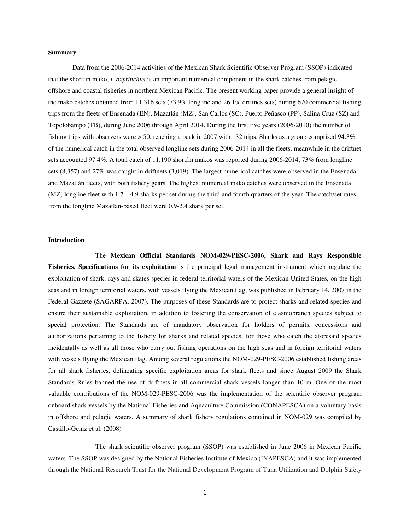#### **Summary**

Data from the 2006-2014 activities of the Mexican Shark Scientific Observer Program (SSOP) indicated that the shortfin mako, *I. oxyrinchus* is an important numerical component in the shark catches from pelagic, offshore and coastal fisheries in northern Mexican Pacific. The present working paper provide a general insight of the mako catches obtained from 11,316 sets (73.9% longline and 26.1% driftnes sets) during 670 commercial fishing trips from the fleets of Ensenada (EN), Mazatlán (MZ), San Carlos (SC), Puerto Peñasco (PP), Salina Cruz (SZ) and Topolobampo (TB), during June 2006 through April 2014. During the first five years (2006-2010) the number of fishing trips with observers were  $> 50$ , reaching a peak in 2007 with 132 trips. Sharks as a group comprised 94.3% of the numerical catch in the total observed longline sets during 2006-2014 in all the fleets, meanwhile in the driftnet sets accounted 97.4%. A total catch of 11,190 shortfin makos was reported during 2006-2014, 73% from longline sets (8,357) and 27% was caught in driftnets (3,019). The largest numerical catches were observed in the Ensenada and Mazatlán fleets, with both fishery gears. The highest numerical mako catches were observed in the Ensenada  $(MZ)$  longline fleet with  $1.7 - 4.9$  sharks per set during the third and fourth quarters of the year. The catch/set rates from the longline Mazatlan-based fleet were 0.9-2.4 shark per set.

#### **Introduction**

The **Mexican Official Standards NOM-029-PESC-2006, Shark and Rays Responsible Fisheries. Specifications for its exploitation** is the principal legal management instrument which regulate the exploitation of shark, rays and skates species in federal territorial waters of the Mexican United States, on the high seas and in foreign territorial waters, with vessels flying the Mexican flag, was published in February 14, 2007 in the Federal Gazzete (SAGARPA, 2007). The purposes of these Standards are to protect sharks and related species and ensure their sustainable exploitation, in addition to fostering the conservation of elasmobranch species subject to special protection. The Standards are of mandatory observation for holders of permits, concessions and authorizations pertaining to the fishery for sharks and related species; for those who catch the aforesaid species incidentally as well as all those who carry out fishing operations on the high seas and in foreign territorial waters with vessels flying the Mexican flag. Among several regulations the NOM-029-PESC-2006 established fishing areas for all shark fisheries, delineating specific exploitation areas for shark fleets and since August 2009 the Shark Standards Rules banned the use of driftnets in all commercial shark vessels longer than 10 m. One of the most valuable contributions of the NOM-029-PESC-2006 was the implementation of the scientific observer program onboard shark vessels by the National Fisheries and Aquaculture Commission (CONAPESCA) on a voluntary basis in offshore and pelagic waters. A summary of shark fishery regulations contained in NOM-029 was compiled by Castillo-Geniz et al. (2008)

The shark scientific observer program (SSOP) was established in June 2006 in Mexican Pacific waters. The SSOP was designed by the National Fisheries Institute of Mexico (INAPESCA) and it was implemented through the National Research Trust for the National Development Program of Tuna Utilization and Dolphin Safety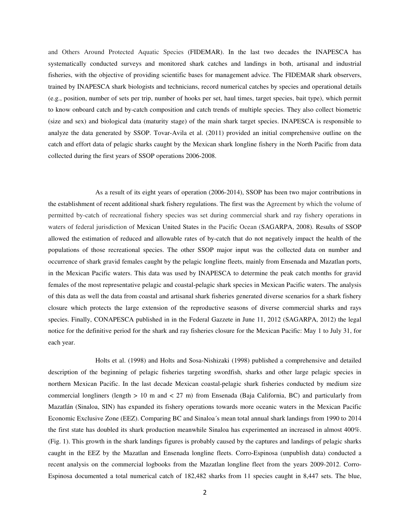and Others Around Protected Aquatic Species (FIDEMAR). In the last two decades the INAPESCA has systematically conducted surveys and monitored shark catches and landings in both, artisanal and industrial fisheries, with the objective of providing scientific bases for management advice. The FIDEMAR shark observers, trained by INAPESCA shark biologists and technicians, record numerical catches by species and operational details (e.g., position, number of sets per trip, number of hooks per set, haul times, target species, bait type), which permit to know onboard catch and by-catch composition and catch trends of multiple species. They also collect biometric (size and sex) and biological data (maturity stage) of the main shark target species. INAPESCA is responsible to analyze the data generated by SSOP. Tovar-Avila et al. (2011) provided an initial comprehensive outline on the catch and effort data of pelagic sharks caught by the Mexican shark longline fishery in the North Pacific from data collected during the first years of SSOP operations 2006-2008.

As a result of its eight years of operation (2006-2014), SSOP has been two major contributions in the establishment of recent additional shark fishery regulations. The first was the Agreement by which the volume of permitted by-catch of recreational fishery species was set during commercial shark and ray fishery operations in waters of federal jurisdiction of Mexican United States in the Pacific Ocean (SAGARPA, 2008). Results of SSOP allowed the estimation of reduced and allowable rates of by-catch that do not negatively impact the health of the populations of those recreational species. The other SSOP major input was the collected data on number and occurrence of shark gravid females caught by the pelagic longline fleets, mainly from Ensenada and Mazatlan ports, in the Mexican Pacific waters. This data was used by INAPESCA to determine the peak catch months for gravid females of the most representative pelagic and coastal-pelagic shark species in Mexican Pacific waters. The analysis of this data as well the data from coastal and artisanal shark fisheries generated diverse scenarios for a shark fishery closure which protects the large extension of the reproductive seasons of diverse commercial sharks and rays species. Finally, CONAPESCA published in in the Federal Gazzete in June 11, 2012 (SAGARPA, 2012) the legal notice for the definitive period for the shark and ray fisheries closure for the Mexican Pacific: May 1 to July 31, for each year.

Holts et al. (1998) and Holts and Sosa-Nishizaki (1998) published a comprehensive and detailed description of the beginning of pelagic fisheries targeting swordfish, sharks and other large pelagic species in northern Mexican Pacific. In the last decade Mexican coastal-pelagic shark fisheries conducted by medium size commercial longliners (length  $> 10$  m and  $< 27$  m) from Ensenada (Baja California, BC) and particularly from Mazatlán (Sinaloa, SIN) has expanded its fishery operations towards more oceanic waters in the Mexican Pacific Economic Exclusive Zone (EEZ). Comparing BC and Sinaloa´s mean total annual shark landings from 1990 to 2014 the first state has doubled its shark production meanwhile Sinaloa has experimented an increased in almost 400%. (Fig. 1). This growth in the shark landings figures is probably caused by the captures and landings of pelagic sharks caught in the EEZ by the Mazatlan and Ensenada longline fleets. Corro-Espinosa (unpublish data) conducted a recent analysis on the commercial logbooks from the Mazatlan longline fleet from the years 2009-2012. Corro-Espinosa documented a total numerical catch of 182,482 sharks from 11 species caught in 8,447 sets. The blue,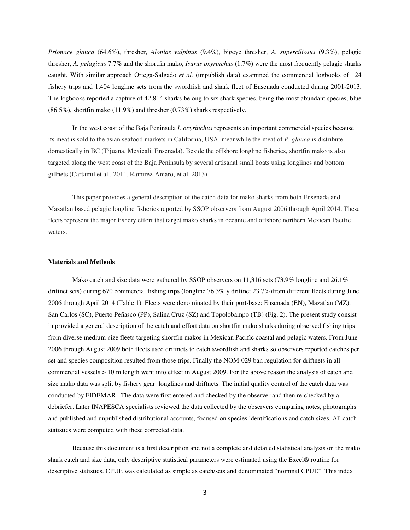*Prionace glauca* (64.6%), thresher, *Alopias vulpinus* (9.4%), bigeye thresher, *A. superciliosus* (9.3%), pelagic thresher, *A. pelagicus* 7.7% and the shortfin mako, *Isurus oxyrinchus* (1.7%) were the most frequently pelagic sharks caught. With similar approach Ortega-Salgado *et al.* (unpublish data) examined the commercial logbooks of 124 fishery trips and 1,404 longline sets from the swordfish and shark fleet of Ensenada conducted during 2001-2013. The logbooks reported a capture of 42,814 sharks belong to six shark species, being the most abundant species, blue  $(86.5\%)$ , shortfin mako  $(11.9\%)$  and thresher  $(0.73\%)$  sharks respectively.

In the west coast of the Baja Peninsula *I. oxyrinchus* represents an important commercial species because its meat is sold to the asian seafood markets in California, USA, meanwhile the meat of *P. glauca* is distribute domestically in BC (Tijuana, Mexicali, Ensenada). Beside the offshore longline fisheries, shortfin mako is also targeted along the west coast of the Baja Peninsula by several artisanal small boats using longlines and bottom gillnets (Cartamil et al., 2011, Ramirez-Amaro, et al. 2013).

This paper provides a general description of the catch data for mako sharks from both Ensenada and Mazatlan based pelagic longline fisheries reported by SSOP observers from August 2006 through April 2014. These fleets represent the major fishery effort that target mako sharks in oceanic and offshore northern Mexican Pacific waters.

#### **Materials and Methods**

Mako catch and size data were gathered by SSOP observers on 11,316 sets (73.9% longline and 26.1% driftnet sets) during 670 commercial fishing trips (longline 76.3% y driftnet 23.7%)from different fleets during June 2006 through April 2014 (Table 1). Fleets were denominated by their port-base: Ensenada (EN), Mazatlán (MZ), San Carlos (SC), Puerto Peñasco (PP), Salina Cruz (SZ) and Topolobampo (TB) (Fig. 2). The present study consist in provided a general description of the catch and effort data on shortfin mako sharks during observed fishing trips from diverse medium-size fleets targeting shortfin makos in Mexican Pacific coastal and pelagic waters. From June 2006 through August 2009 both fleets used driftnets to catch swordfish and sharks so observers reported catches per set and species composition resulted from those trips. Finally the NOM-029 ban regulation for driftnets in all commercial vessels > 10 m length went into effect in August 2009. For the above reason the analysis of catch and size mako data was split by fishery gear: longlines and driftnets. The initial quality control of the catch data was conducted by FIDEMAR . The data were first entered and checked by the observer and then re-checked by a debriefer. Later INAPESCA specialists reviewed the data collected by the observers comparing notes, photographs and published and unpublished distributional accounts, focused on species identifications and catch sizes. All catch statistics were computed with these corrected data.

Because this document is a first description and not a complete and detailed statistical analysis on the mako shark catch and size data, only descriptive statistical parameters were estimated using the Excel® routine for descriptive statistics. CPUE was calculated as simple as catch/sets and denominated "nominal CPUE". This index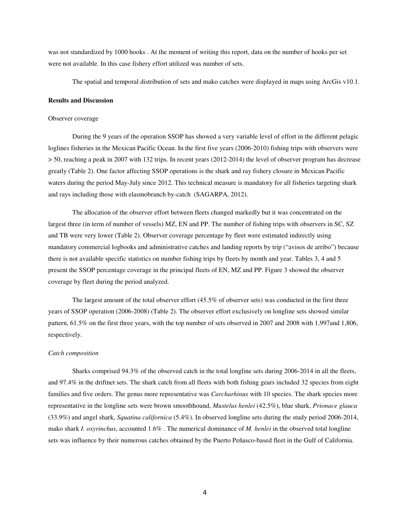was not standardized by 1000 hooks . At the moment of writing this report, data on the number of hooks per set were not available. In this case fishery effort utilized was number of sets.

The spatial and temporal distribution of sets and mako catches were displayed in maps using ArcGis v10.1.

#### **Results and Discussion**

#### Observer coverage

During the 9 years of the operation SSOP has showed a very variable level of effort in the different pelagic loglines fisheries in the Mexican Pacific Ocean. In the first five years (2006-2010) fishing trips with observers were > 50, reaching a peak in 2007 with 132 trips. In recent years (2012-2014) the level of observer program has decrease greatly (Table 2). One factor affecting SSOP operations is the shark and ray fishery closure in Mexican Pacific waters during the period May-July since 2012. This technical measure is mandatory for all fisheries targeting shark and rays including those with elasmobranch by-catch (SAGARPA, 2012).

The allocation of the observer effort between fleets changed markedly but it was concentrated on the largest three (in term of number of vessels) MZ, EN and PP. The number of fishing trips with observers in SC, SZ and TB were very lower (Table 2). Observer coverage percentage by fleet were estimated indirectly using mandatory commercial logbooks and administrative catches and landing reports by trip ("avisos de arribo") because there is not available specific statistics on number fishing trips by fleets by month and year. Tables 3, 4 and 5 present the SSOP percentage coverage in the principal fleets of EN, MZ and PP. Figure 3 showed the observer coverage by fleet during the period analyzed.

The largest amount of the total observer effort (45.5% of observer sets) was conducted in the first three years of SSOP operation (2006-2008) (Table 2). The observer effort exclusively on longline sets showed similar pattern, 61.5% on the first three years, with the top number of sets observed in 2007 and 2008 with 1,997and 1,806, respectively.

#### *Catch composition*

Sharks comprised 94.3% of the observed catch in the total longline sets during 2006-2014 in all the fleets, and 97.4% in the driftnet sets. The shark catch from all fleets with both fishing gears included 32 species from eight families and five orders. The genus more representative was *Carcharhinus* with 10 species. The shark species more representative in the longline sets were brown smoothhound, *Mustelus henlei* (42.5%), blue shark, *Prionace glauca* (33.9%) and angel shark, *Squatina californica* (5.4%). In observed longline sets during the study period 2006-2014, mako shark *I. oxyrinchus*, accounted 1.6% . The numerical dominance of *M. henlei* in the observed total longline sets was influence by their numerous catches obtained by the Puerto Peñasco-based fleet in the Gulf of California.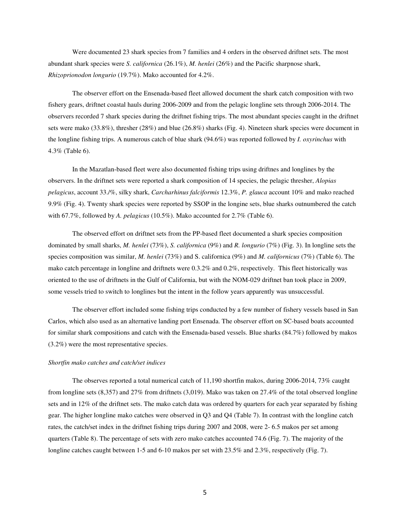Were documented 23 shark species from 7 families and 4 orders in the observed driftnet sets. The most abundant shark species were *S. californica* (26.1%), *M. henlei* (26%) and the Pacific sharpnose shark, *Rhizoprionodon longurio* (19.7%). Mako accounted for 4.2%.

The observer effort on the Ensenada-based fleet allowed document the shark catch composition with two fishery gears, driftnet coastal hauls during 2006-2009 and from the pelagic longline sets through 2006-2014. The observers recorded 7 shark species during the driftnet fishing trips. The most abundant species caught in the driftnet sets were mako (33.8%), thresher (28%) and blue (26.8%) sharks (Fig. 4). Nineteen shark species were document in the longline fishing trips. A numerous catch of blue shark (94.6%) was reported followed by *I. oxyrinchus* with 4.3% (Table 6).

In the Mazatlan-based fleet were also documented fishing trips using driftnes and longlines by the observers. In the driftnet sets were reported a shark composition of 14 species, the pelagic thresher, *Alopias pelagicus*, account 33./%, silky shark, *Carcharhinus falciformis* 12.3%, *P. glauca* account 10% and mako reached 9.9% (Fig. 4). Twenty shark species were reported by SSOP in the longine sets, blue sharks outnumbered the catch with 67.7%, followed by *A. pelagicus* (10.5%). Mako accounted for 2.7% (Table 6).

The observed effort on driftnet sets from the PP-based fleet documented a shark species composition dominated by small sharks, *M. henlei* (73%), *S. californica* (9%) and *R. longurio* (7%) (Fig. 3). In longline sets the species composition was similar, *M. henlei* (73%) and S. californica (9%) and *M. californicus* (7%) (Table 6). The mako catch percentage in longline and driftnets were 0.3.2% and 0.2%, respectively. This fleet historically was oriented to the use of driftnets in the Gulf of California, but with the NOM-029 driftnet ban took place in 2009, some vessels tried to switch to longlines but the intent in the follow years apparently was unsuccessful.

The observer effort included some fishing trips conducted by a few number of fishery vessels based in San Carlos, which also used as an alternative landing port Ensenada. The observer effort on SC-based boats accounted for similar shark compositions and catch with the Ensenada-based vessels. Blue sharks (84.7%) followed by makos (3.2%) were the most representative species.

#### *Shortfin mako catches and catch/set indices*

The observes reported a total numerical catch of 11,190 shortfin makos, during 2006-2014, 73% caught from longline sets (8,357) and 27% from driftnets (3,019). Mako was taken on 27.4% of the total observed longline sets and in 12% of the driftnet sets. The mako catch data was ordered by quarters for each year separated by fishing gear. The higher longline mako catches were observed in Q3 and Q4 (Table 7). In contrast with the longline catch rates, the catch/set index in the driftnet fishing trips during 2007 and 2008, were 2- 6.5 makos per set among quarters (Table 8). The percentage of sets with zero mako catches accounted 74.6 (Fig. 7). The majority of the longline catches caught between 1-5 and 6-10 makos per set with 23.5% and 2.3%, respectively (Fig. 7).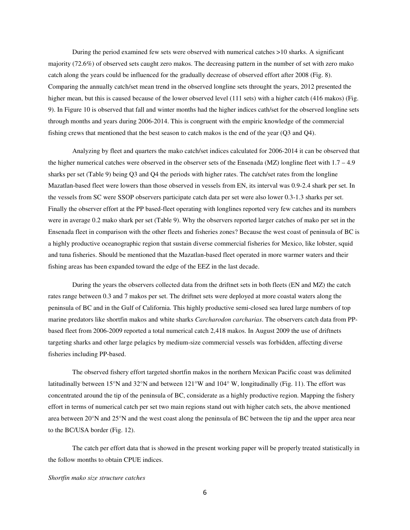During the period examined few sets were observed with numerical catches >10 sharks. A significant majority (72.6%) of observed sets caught zero makos. The decreasing pattern in the number of set with zero mako catch along the years could be influenced for the gradually decrease of observed effort after 2008 (Fig. 8). Comparing the annually catch/set mean trend in the observed longline sets throught the years, 2012 presented the higher mean, but this is caused because of the lower observed level (111 sets) with a higher catch (416 makos) (Fig. 9). In Figure 10 is observed that fall and winter months had the higher indices cath/set for the observed longline sets through months and years during 2006-2014. This is congruent with the empiric knowledge of the commercial fishing crews that mentioned that the best season to catch makos is the end of the year (Q3 and Q4).

Analyzing by fleet and quarters the mako catch/set indices calculated for 2006-2014 it can be observed that the higher numerical catches were observed in the observer sets of the Ensenada (MZ) longline fleet with 1.7 – 4.9 sharks per set (Table 9) being Q3 and Q4 the periods with higher rates. The catch/set rates from the longline Mazatlan-based fleet were lowers than those observed in vessels from EN, its interval was 0.9-2.4 shark per set. In the vessels from SC were SSOP observers participate catch data per set were also lower 0.3-1.3 sharks per set. Finally the observer effort at the PP based-fleet operating with longlines reported very few catches and its numbers were in average 0.2 mako shark per set (Table 9). Why the observers reported larger catches of mako per set in the Ensenada fleet in comparison with the other fleets and fisheries zones? Because the west coast of peninsula of BC is a highly productive oceanographic region that sustain diverse commercial fisheries for Mexico, like lobster, squid and tuna fisheries. Should be mentioned that the Mazatlan-based fleet operated in more warmer waters and their fishing areas has been expanded toward the edge of the EEZ in the last decade.

During the years the observers collected data from the driftnet sets in both fleets (EN and MZ) the catch rates range between 0.3 and 7 makos per set. The driftnet sets were deployed at more coastal waters along the peninsula of BC and in the Gulf of California. This highly productive semi-closed sea lured large numbers of top marine predators like shortfin makos and white sharks *Carcharodon carcharias*. The observers catch data from PPbased fleet from 2006-2009 reported a total numerical catch 2,418 makos. In August 2009 the use of driftnets targeting sharks and other large pelagics by medium-size commercial vessels was forbidden, affecting diverse fisheries including PP-based.

The observed fishery effort targeted shortfin makos in the northern Mexican Pacific coast was delimited latitudinally between 15°N and 32°N and between 121°W and 104° W, longitudinally (Fig. 11). The effort was concentrated around the tip of the peninsula of BC, considerate as a highly productive region. Mapping the fishery effort in terms of numerical catch per set two main regions stand out with higher catch sets, the above mentioned area between 20°N and 25°N and the west coast along the peninsula of BC between the tip and the upper area near to the BC/USA border (Fig. 12).

The catch per effort data that is showed in the present working paper will be properly treated statistically in the follow months to obtain CPUE indices.

#### *Shortfin mako size structure catches*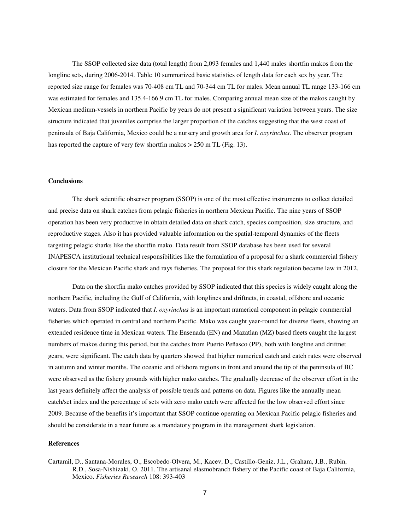The SSOP collected size data (total length) from 2,093 females and 1,440 males shortfin makos from the longline sets, during 2006-2014. Table 10 summarized basic statistics of length data for each sex by year. The reported size range for females was 70-408 cm TL and 70-344 cm TL for males. Mean annual TL range 133-166 cm was estimated for females and 135.4-166.9 cm TL for males. Comparing annual mean size of the makos caught by Mexican medium-vessels in northern Pacific by years do not present a significant variation between years. The size structure indicated that juveniles comprise the larger proportion of the catches suggesting that the west coast of peninsula of Baja California, Mexico could be a nursery and growth area for *I. oxyrinchus*. The observer program has reported the capture of very few shortfin makos > 250 m TL (Fig. 13).

#### **Conclusions**

The shark scientific observer program (SSOP) is one of the most effective instruments to collect detailed and precise data on shark catches from pelagic fisheries in northern Mexican Pacific. The nine years of SSOP operation has been very productive in obtain detailed data on shark catch, species composition, size structure, and reproductive stages. Also it has provided valuable information on the spatial-temporal dynamics of the fleets targeting pelagic sharks like the shortfin mako. Data result from SSOP database has been used for several INAPESCA institutional technical responsibilities like the formulation of a proposal for a shark commercial fishery closure for the Mexican Pacific shark and rays fisheries. The proposal for this shark regulation became law in 2012.

Data on the shortfin mako catches provided by SSOP indicated that this species is widely caught along the northern Pacific, including the Gulf of California, with longlines and driftnets, in coastal, offshore and oceanic waters. Data from SSOP indicated that *I. oxyrinchus* is an important numerical component in pelagic commercial fisheries which operated in central and northern Pacific. Mako was caught year-round for diverse fleets, showing an extended residence time in Mexican waters. The Ensenada (EN) and Mazatlan (MZ) based fleets caught the largest numbers of makos during this period, but the catches from Puerto Peñasco (PP), both with longline and driftnet gears, were significant. The catch data by quarters showed that higher numerical catch and catch rates were observed in autumn and winter months. The oceanic and offshore regions in front and around the tip of the peninsula of BC were observed as the fishery grounds with higher mako catches. The gradually decrease of the observer effort in the last years definitely affect the analysis of possible trends and patterns on data. Figures like the annually mean catch/set index and the percentage of sets with zero mako catch were affected for the low observed effort since 2009. Because of the benefits it's important that SSOP continue operating on Mexican Pacific pelagic fisheries and should be considerate in a near future as a mandatory program in the management shark legislation.

#### **References**

Cartamil, D., Santana-Morales, O., Escobedo-Olvera, M., Kacev, D., Castillo-Geniz, J.L., Graham, J.B., Rubin, R.D., Sosa-Nishizaki, O. 2011. The artisanal elasmobranch fishery of the Pacific coast of Baja California, Mexico. *Fisheries Research* 108: 393-403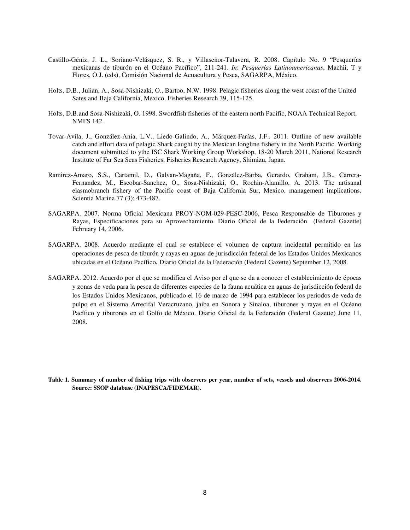- Castillo-Géniz, J. L., Soriano-Velásquez, S. R., y Villaseñor-Talavera, R. 2008. Capítulo No. 9 "Pesquerías mexicanas de tiburón en el Océano Pacífico", 211-241. *In*: *Pesquerías Latinoamericanas*, Machii, T y Flores, O.J. (eds), Comisión Nacional de Acuacultura y Pesca, SAGARPA, México.
- Holts, D.B., Julian, A., Sosa-Nishizaki, O., Bartoo, N.W. 1998. Pelagic fisheries along the west coast of the United Sates and Baja California, Mexico. Fisheries Research 39, 115-125.
- Holts, D.B.and Sosa-Nishizaki, O. 1998. Swordfish fisheries of the eastern north Pacific, NOAA Technical Report, NMFS 142.
- Tovar-Avila, J., González-Ania, L.V., Liedo-Galindo, A., Márquez-Farías, J.F.. 2011. Outline of new available catch and effort data of pelagic Shark caught by the Mexican longline fishery in the North Pacific. Working document subtmitted to ythe ISC Shark Working Group Workshop, 18-20 March 2011, National Research Institute of Far Sea Seas Fisheries, Fisheries Research Agency, Shimizu, Japan.
- Ramirez-Amaro, S.S., Cartamil, D., Galvan-Magaña, F., González-Barba, Gerardo, Graham, J.B., Carrera-Fernandez, M., Escobar-Sanchez, O., Sosa-Nishizaki, O., Rochin-Alamillo, A. 2013. The artisanal elasmobranch fishery of the Pacific coast of Baja California Sur, Mexico, management implications. Scientia Marina 77 (3): 473-487.
- SAGARPA. 2007. Norma Oficial Mexicana PROY-NOM-029-PESC-2006, Pesca Responsable de Tiburones y Rayas, Especificaciones para su Aprovechamiento. Diario Oficial de la Federación (Federal Gazette) February 14, 2006.
- SAGARPA. 2008. Acuerdo mediante el cual se establece el volumen de captura incidental permitido en las operaciones de pesca de tiburón y rayas en aguas de jurisdicción federal de los Estados Unidos Mexicanos ubicadas en el Océano Pacífico**.** Diario Oficial de la Federación (Federal Gazette) September 12, 2008.
- SAGARPA. 2012. Acuerdo por el que se modifica el Aviso por el que se da a conocer el establecimiento de épocas y zonas de veda para la pesca de diferentes especies de la fauna acuática en aguas de jurisdicción federal de los Estados Unidos Mexicanos, publicado el 16 de marzo de 1994 para establecer los periodos de veda de pulpo en el Sistema Arrecifal Veracruzano, jaiba en Sonora y Sinaloa, tiburones y rayas en el Océano Pacífico y tiburones en el Golfo de México. Diario Oficial de la Federación (Federal Gazette) June 11, 2008.
- **Table 1. Summary of number of fishing trips with observers per year, number of sets, vessels and observers 2006-2014. Source: SSOP database (INAPESCA/FIDEMAR).**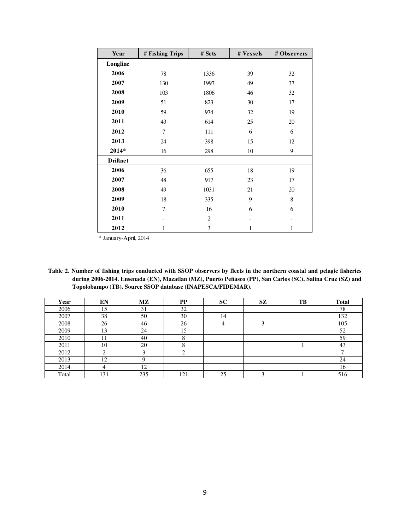| Year            | # Fishing Trips | # Sets         | # Vessels | # Observers |
|-----------------|-----------------|----------------|-----------|-------------|
| Longline        |                 |                |           |             |
| 2006            | 78              | 1336           | 39        | 32          |
| 2007            | 130             | 1997           | 49        | 37          |
| 2008            | 103             | 1806           | 46        | 32          |
| 2009            | 51              | 823            | 30        | 17          |
| 2010            | 59              | 974            | 32        | 19          |
| 2011            | 43              | 614            | 25        | 20          |
| 2012            | $\overline{7}$  | 111            | 6         | 6           |
| 2013            | 24              | 398            | 15        | 12          |
| 2014*           | 16              | 298            | 10        | 9           |
| <b>Driftnet</b> |                 |                |           |             |
| 2006            | 36              | 655            | 18        | 19          |
| 2007            | 48              | 917            | 23        | 17          |
| 2008            | 49              | 1031           | 21        | 20          |
| 2009            | 18              | 335            | 9         | 8           |
| 2010            | 7               | 16             | 6         | 6           |
| 2011            |                 | $\overline{2}$ |           |             |
| 2012            | 1               | 3              | 1         | 1           |

\* January-April, 2014

| Table 2. Number of fishing trips conducted with SSOP observers by fleets in the northern coastal and pelagic fisheries |
|------------------------------------------------------------------------------------------------------------------------|
| during 2006-2014. Ensenada (EN), Mazatlan (MZ), Puerto Peñasco (PP), San Carlos (SC), Salina Cruz (SZ) and             |
| Topolobampo (TB). Source SSOP database (INAPESCA/FIDEMAR).                                                             |

| Year  | EN  | $\mathbf{M}\mathbf{Z}$ | $\bf PP$ | <b>SC</b> | <b>SZ</b> | TB | <b>Total</b> |
|-------|-----|------------------------|----------|-----------|-----------|----|--------------|
| 2006  | 15  | 31                     | 32       |           |           |    | 78           |
| 2007  | 38  | 50                     | 30       | 14        |           |    | 132          |
| 2008  | 26  | 46                     | 26       | 4         |           |    | 105          |
| 2009  | 13  | 24                     | 15       |           |           |    | 52           |
| 2010  | 11  | 40                     | 8        |           |           |    | 59           |
| 2011  | 10  | 20                     | 8        |           |           |    | 43           |
| 2012  |     |                        | ◠        |           |           |    |              |
| 2013  | 12  |                        |          |           |           |    | 24           |
| 2014  |     | 12                     |          |           |           |    | 16           |
| Total | 131 | 235                    | 121      | 25        |           |    | 516          |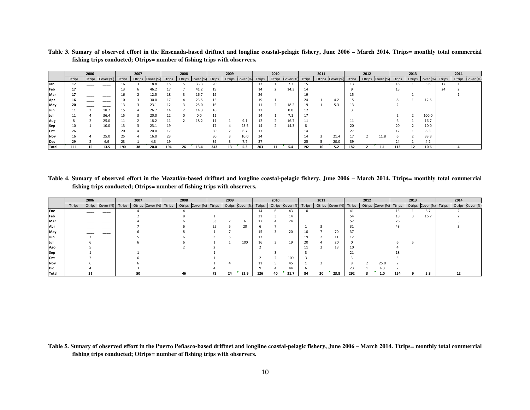Table 3. Sumary of observed effort in the Ensenada-based driftnet and longline coastal-pelagic fishery, June 2006 – March 2014. Ttrips= monthly total commercial **fishing trips conducted; Otrips= number of fishing trips with observers.** 

|                  |               | 2006   |          |               | 2007   |           |               | 2008   |           |        | 2009 |                  |        | 2010   |                   |               | 2011 |                         |     | 2012 |                  |               | 2013   |           |        | 2014   |           |
|------------------|---------------|--------|----------|---------------|--------|-----------|---------------|--------|-----------|--------|------|------------------|--------|--------|-------------------|---------------|------|-------------------------|-----|------|------------------|---------------|--------|-----------|--------|--------|-----------|
|                  | <b>Ttrips</b> | Otrips | Cover(%) | <b>Ttrips</b> | Otrips | Cover (%) | <b>Ttrips</b> | Otrips | Cover (%) | Ttrips |      | Otrips Cover (%) | Ttrips | Otrips | Cover (%)         | <b>Ttrips</b> |      | Otrips Cover (%) Ttrips |     |      | Otrips Cover (%) | <b>Ttrips</b> | Otrips | Cover (%) | Ttrips | Otrips | Cover (%) |
| Jan              | 17            |        |          | 1b.           |        | 18.8      | 15.           |        | 33.3      |        |      |                  | 13     |        | 7.7               | 15            |      |                         | 13  |      |                  | 18            |        | 5.6       |        |        |           |
| Feb              | 17            |        |          | 13            |        | 46.2      |               |        | 41.2      | 19     |      |                  | 14     |        | 14.3              | 14            |      |                         |     |      |                  | 15            |        |           | 24     |        |           |
| Mar              | 17            |        | ___      |               |        | 12.5      | 18            |        | 16.7      |        |      |                  |        |        |                   | 19            |      |                         | 15  |      |                  |               |        |           |        |        |           |
| Apr              | 16            |        |          |               |        | 30.0      |               |        | 23.5      |        |      |                  | 19     |        |                   | 24            |      | 4.2                     | 15  |      |                  | $\sim$        |        | 12.5      |        |        |           |
| <sub>I</sub> May | 20            |        | -----    |               |        | 23.1      |               |        | 25.0      |        |      |                  |        |        | 18.2              | 19            |      | 5.3                     | 13  |      |                  |               |        |           |        |        |           |
| Jun              | 11            |        | 18.2     |               |        | 26.7      | 14            |        | 14.3      | 16     |      |                  | 12     |        | 0.0               | 12            |      |                         |     |      |                  |               |        |           |        |        |           |
| Jul              | 11            |        | 36.4     |               |        | 20.0      | 12            |        | 0.0       | ᆧ      |      |                  | 14     |        | $\overline{1}$ .1 | 17            |      |                         |     |      |                  |               |        | 100.0     |        |        |           |
| Aug              | 8             |        | 25.0     |               |        | 18.2      |               |        | 18.2      |        |      | 9.1              |        |        | 16.7              |               |      |                         | 11  |      |                  |               |        | 16.7      |        |        |           |
| Sep              | 10            |        | 10.0     | 13            |        | 23.1      | 19            |        |           | 17     |      | 23.5             | 14     |        | 14.3              |               |      |                         | 20  |      |                  | 20            |        | 10.0      |        |        |           |
| Oct              | 26            |        |          |               |        | 20.0      |               |        |           | 30     |      | 6.7              |        |        |                   | 14            |      |                         |     |      |                  | 12            |        | 8.3       |        |        |           |
| Nov              | 16            |        | 25.0     | 25            |        | 16.0      | 23.           |        |           | 30     |      | 10.0             |        |        |                   | 14            |      | 21.4                    | 17  |      | 11.8             |               |        | 33.3      |        |        |           |
| Dec              | 29            |        | 6.9      | 23            |        | 4.3       |               |        |           | 39     |      | 7.7              |        |        |                   | 25            |      | 20.0                    |     |      |                  | 24            |        | 4.2       |        |        |           |
| Total            | 111           | 15     | 13.5     | 190           | 38     | 20.0      | 194           | 26     | 13.4      | 243    | 13   | 5.3              | 203    |        | 5.4               | 192           | 10   | 5.2                     | 182 |      |                  | 113           | 12     | 10.6      |        |        |           |

Table 4. Sumary of observed effort in the Mazatlán-based driftnet and longline coastal-pelagic fishery, June 2006 - March 2014. Ttrips= monthly total commercial **fishing trips conducted; Otrips= number of fishing trips with observers.** 

|             |        | 2006 |                         | 2007 | 2008                                              |    | 2009 |                         |     | 2010 |                                                   |    | 2011 |      |     | 2012 |                         |     | 2013 |                         | 2014 |                  |
|-------------|--------|------|-------------------------|------|---------------------------------------------------|----|------|-------------------------|-----|------|---------------------------------------------------|----|------|------|-----|------|-------------------------|-----|------|-------------------------|------|------------------|
|             | Ttrips |      | Otrips Cover (%) Ttrips |      | Otrips Cover (%) Ttrips   Otrips Cover (%) Ttrips |    |      | Otrips Cover (%) Ttrips |     |      | Otrips Cover (%) Ttrips   Otrips Cover (%) Ttrips |    |      |      |     |      | Otrips Cover (%) Ttrips |     |      | Otrips Cover (%) Ttrips |      | Otrips Cover (%) |
| Ene         |        |      |                         |      |                                                   |    |      |                         | 14  |      | 43                                                | 10 |      |      | 41  |      |                         | 15  |      | 6.7                     |      |                  |
| Feb         |        |      |                         |      |                                                   |    |      |                         |     |      | 14                                                |    |      |      | 54  |      |                         | 18  |      | 16.7                    |      |                  |
| <b>IMar</b> |        |      |                         |      |                                                   | 33 |      |                         |     |      | 24                                                |    |      |      |     |      |                         | 26  |      |                         |      |                  |
| Abr         |        |      |                         |      |                                                   | 25 |      | 20                      |     |      |                                                   |    |      |      | 31  |      |                         | 48  |      |                         |      |                  |
| May         |        |      |                         |      |                                                   |    |      |                         |     |      | 20                                                |    |      |      | 37  |      |                         |     |      |                         |      |                  |
| Jun         |        |      |                         |      |                                                   |    |      |                         |     |      |                                                   |    |      | -11  | ΨŁ  |      |                         |     |      |                         |      |                  |
| Jul         |        |      |                         |      |                                                   |    |      | 100                     |     |      | 19                                                | 20 |      | 20   |     |      |                         |     |      |                         |      |                  |
| Ago         |        |      |                         |      |                                                   |    |      |                         |     |      |                                                   |    |      | 18   | 10  |      |                         |     |      |                         |      |                  |
| Sep         |        |      |                         |      |                                                   |    |      |                         |     |      |                                                   |    |      |      |     |      |                         | 18  |      |                         |      |                  |
| Oct         |        |      |                         |      |                                                   |    |      |                         |     |      | 100                                               |    |      |      |     |      |                         |     |      |                         |      |                  |
| <b>Nov</b>  |        |      |                         |      |                                                   |    |      |                         |     |      | 45                                                |    |      |      |     |      | 25.0                    |     |      |                         |      |                  |
| Dic         |        |      |                         |      |                                                   |    |      |                         |     |      | 44                                                |    |      |      | 23  |      | 4.3                     |     |      |                         |      |                  |
| Total       |        | 31   |                         | 50   | 46                                                | 73 | 24   | 32.9                    | 126 | 40   | 31.7                                              | 84 | 20   | 23.8 | 292 |      | 1.0                     | 154 |      | 5.8                     | 12   |                  |

**Table 5. Sumary of observed effort in the Puerto Peñasco-based driftnet and longline coastal-pelagic fishery, June 2006 – March 2014. Ttrips= monthly total commercial fishing trips conducted; Otrips= number of fishing trips with observers.**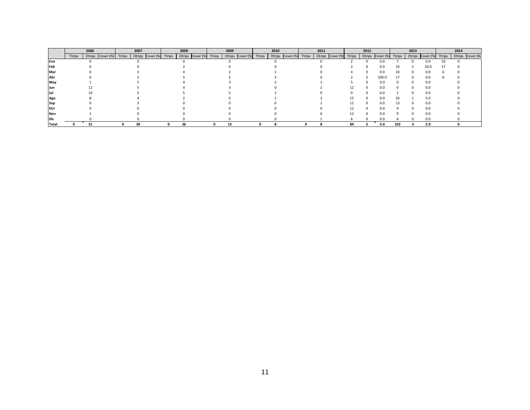|              |        | 2006                    | 2007                    | 2008                    | 2009 |  | 2010                                              | 2011 |                         |    | 2012 |                  |        | 2013   |           |               | 2014             |
|--------------|--------|-------------------------|-------------------------|-------------------------|------|--|---------------------------------------------------|------|-------------------------|----|------|------------------|--------|--------|-----------|---------------|------------------|
|              | Ttrips | Otrips Cover (%) Ttrips | Otrips Cover (%) Ttrips | Otrips Cover (%) Ttrips |      |  | Otrips Cover (%) Ttrips   Otrips Cover (%) Ttrips |      | Otrips Cover (%) Ttrips |    |      | Otrips Cover (%) | Ttrips | Otrips | Cover (%) | <b>Ttrips</b> | Otrips Cover (%) |
| Ene          |        |                         |                         |                         |      |  |                                                   |      |                         |    |      |                  |        |        | 0.0       |               |                  |
| Feb          |        |                         |                         |                         |      |  |                                                   |      |                         |    |      | 0.0              | 10     |        | 20.0      |               |                  |
| Mar          |        |                         |                         |                         |      |  |                                                   |      |                         |    |      | ი.ი              |        |        | 0.0       |               |                  |
| Abr          |        |                         |                         |                         |      |  |                                                   |      |                         |    |      | 100.0            | 17     |        | 0.0       |               |                  |
| May          |        |                         |                         |                         |      |  |                                                   |      |                         |    |      | 0.0              |        |        | 0.0       |               |                  |
| Jun          |        |                         |                         |                         |      |  |                                                   |      |                         | 12 |      | 0.0              |        |        | 0.0       |               |                  |
| Jul          |        |                         |                         |                         |      |  |                                                   |      |                         |    |      | 0.0              |        |        | 0.0       |               |                  |
| Ago          |        |                         |                         |                         |      |  |                                                   |      |                         | 15 |      | 0.0              | 20     |        | 5.0       |               |                  |
| Sep          |        |                         |                         |                         |      |  |                                                   |      |                         |    |      | 0.0              | 13     |        | 0.0       |               |                  |
| Oct          |        |                         |                         |                         |      |  |                                                   |      |                         |    |      | ი.ი              |        |        | 0.0       |               |                  |
| Nov          |        |                         |                         |                         |      |  |                                                   |      |                         | 12 |      | 0.0              |        |        | 0.0       |               |                  |
| <b>Dic</b>   |        |                         |                         |                         |      |  |                                                   |      |                         |    |      |                  |        |        |           |               |                  |
| <b>Total</b> |        |                         | 30                      | 26                      | 15   |  |                                                   |      |                         | 84 |      | 2.4              | 102    |        | 2.9       |               |                  |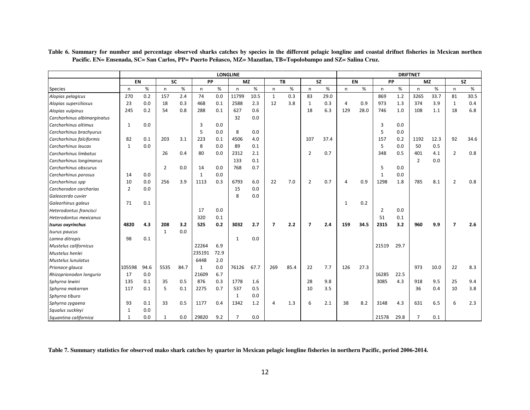|                             |                |      |                |      |              |      | <b>LONGLINE</b> |      |                |           |                |           |              |      |       |      | <b>DRIFTNET</b> |      |                         |           |
|-----------------------------|----------------|------|----------------|------|--------------|------|-----------------|------|----------------|-----------|----------------|-----------|--------------|------|-------|------|-----------------|------|-------------------------|-----------|
|                             | EN             |      | <b>SC</b>      |      | PP           |      | <b>MZ</b>       |      |                | <b>TB</b> |                | <b>SZ</b> |              | EN   | PP    |      | <b>MZ</b>       |      |                         | <b>SZ</b> |
| <b>Species</b>              | n              | %    | n              | $\%$ | $\mathsf{n}$ | %    | $\mathsf{n}$    | %    | n              | %         | n              | %         | $\mathsf{n}$ | $\%$ | n     | %    | n               | %    | n                       | %         |
| Alopias pelagicus           | 270            | 0.2  | 157            | 2.4  | 74           | 0.0  | 11799           | 10.5 | $\mathbf{1}$   | 0.3       | 83             | 29.0      |              |      | 869   | 1.2  | 3265            | 33.7 | 81                      | 30.5      |
| Alopias superciliosus       | 23             | 0.0  | 18             | 0.3  | 468          | 0.1  | 2588            | 2.3  | 12             | 3.8       | 1              | 0.3       | 4            | 0.9  | 973   | 1.3  | 374             | 3.9  | 1                       | 0.4       |
| Alopias vulpinus            | 245            | 0.2  | 54             | 0.8  | 288          | 0.1  | 627             | 0.6  |                |           | 18             | 6.3       | 129          | 28.0 | 746   | 1.0  | 108             | 1.1  | 18                      | 6.8       |
| Carcharhinus albimarginatus |                |      |                |      |              |      | 32              | 0.0  |                |           |                |           |              |      |       |      |                 |      |                         |           |
| Carcharhinus altimus        | 1              | 0.0  |                |      | 3            | 0.0  |                 |      |                |           |                |           |              |      | 3     | 0.0  |                 |      |                         |           |
| Carcharhinus brachyurus     |                |      |                |      | 5            | 0.0  | 8               | 0.0  |                |           |                |           |              |      | 5     | 0.0  |                 |      |                         |           |
| Carcharhinus falciformis    | 82             | 0.1  | 203            | 3.1  | 223          | 0.1  | 4506            | 4.0  |                |           | 107            | 37.4      |              |      | 157   | 0.2  | 1192            | 12.3 | 92                      | 34.6      |
| Carcharhinus leucas         | $\mathbf{1}$   | 0.0  |                |      | 8            | 0.0  | 89              | 0.1  |                |           |                |           |              |      | 5     | 0.0  | 50              | 0.5  |                         |           |
| Carcharhinus limbatus       |                |      | 26             | 0.4  | 80           | 0.0  | 2312            | 2.1  |                |           | $\overline{2}$ | 0.7       |              |      | 348   | 0.5  | 401             | 4.1  | $\overline{2}$          | 0.8       |
| Carcharhinus longimanus     |                |      |                |      |              |      | 133             | 0.1  |                |           |                |           |              |      |       |      | $\overline{2}$  | 0.0  |                         |           |
| Carcharhinus obscurus       |                |      | $\overline{2}$ | 0.0  | 14           | 0.0  | 768             | 0.7  |                |           |                |           |              |      | 5     | 0.0  |                 |      |                         |           |
| Carcharhinus porosus        | 14             | 0.0  |                |      | 1            | 0.0  |                 |      |                |           |                |           |              |      |       | 0.0  |                 |      |                         |           |
| Carcharhinus spp            | 10             | 0.0  | 256            | 3.9  | 1113         | 0.3  | 6793            | 6.0  | 22             | 7.0       | $\overline{2}$ | 0.7       | 4            | 0.9  | 1298  | 1.8  | 785             | 8.1  | $\overline{2}$          | 0.8       |
| Carcharodon carcharias      | $\overline{2}$ | 0.0  |                |      |              |      | 15              | 0.0  |                |           |                |           |              |      |       |      |                 |      |                         |           |
| Galeocerdo cuvier           |                |      |                |      |              |      | 8               | 0.0  |                |           |                |           |              |      |       |      |                 |      |                         |           |
| Galeorhinus galeus          | 71             | 0.1  |                |      |              |      |                 |      |                |           |                |           | 1            | 0.2  |       |      |                 |      |                         |           |
| Heterodontus francisci      |                |      |                |      | 17           | 0.0  |                 |      |                |           |                |           |              |      | 2     | 0.0  |                 |      |                         |           |
| Heterodontus mexicanus      |                |      |                |      | 320          | 0.1  |                 |      |                |           |                |           |              |      | 51    | 0.1  |                 |      |                         |           |
| <b>Isurus oxyrinchus</b>    | 4820           | 4.3  | 208            | 3.2  | 525          | 0.2  | 3032            | 2.7  | $\overline{7}$ | 2.2       | $\overline{7}$ | 2.4       | 159          | 34.5 | 2315  | 3.2  | 960             | 9.9  | $\overline{\mathbf{z}}$ | 2.6       |
| Isurus paucus               |                |      | $\mathbf{1}$   | 0.0  |              |      |                 |      |                |           |                |           |              |      |       |      |                 |      |                         |           |
| Lamna ditropis              | 98             | 0.1  |                |      |              |      | 1               | 0.0  |                |           |                |           |              |      |       |      |                 |      |                         |           |
| Mustelus californicus       |                |      |                |      | 22264        | 6.9  |                 |      |                |           |                |           |              |      | 21519 | 29.7 |                 |      |                         |           |
| Mustelus henlei             |                |      |                |      | 235191       | 72.9 |                 |      |                |           |                |           |              |      |       |      |                 |      |                         |           |
| Mustelus lunulatus          |                |      |                |      | 6448         | 2.0  |                 |      |                |           |                |           |              |      |       |      |                 |      |                         |           |
| Prionace glauca             | 105598         | 94.6 | 5535           | 84.7 | $\mathbf{1}$ | 0.0  | 76126           | 67.7 | 269            | 85.4      | 22             | 7.7       | 126          | 27.3 |       |      | 973             | 10.0 | 22                      | 8.3       |
| Rhizoprionodon longurio     | 17             | 0.0  |                |      | 21609        | 6.7  |                 |      |                |           |                |           |              |      | 16285 | 22.5 |                 |      |                         |           |
| Sphyrna lewini              | 135            | 0.1  | 35             | 0.5  | 876          | 0.3  | 1778            | 1.6  |                |           | 28             | 9.8       |              |      | 3085  | 4.3  | 918             | 9.5  | 25                      | 9.4       |
| Sphyrna mokarran            | 117            | 0.1  | 5              | 0.1  | 2275         | 0.7  | 537             | 0.5  |                |           | 10             | 3.5       |              |      |       |      | 36              | 0.4  | 10                      | 3.8       |
| Sphyrna tiburo              |                |      |                |      |              |      | 1               | 0.0  |                |           |                |           |              |      |       |      |                 |      |                         |           |
| Sphyrna zygaena             | 93             | 0.1  | 33             | 0.5  | 1177         | 0.4  | 1342            | 1.2  |                | 1.3       | 6              | 2.1       | 38           | 8.2  | 3148  | 4.3  | 631             | 6.5  | 6                       | 2.3       |
| Squalus suckleyi            | 1              | 0.0  |                |      |              |      |                 |      |                |           |                |           |              |      |       |      |                 |      |                         |           |
| Squantina californica       | $\mathbf{1}$   | 0.0  | 1              | 0.0  | 29820        | 9.2  | 7               | 0.0  |                |           |                |           |              |      | 21578 | 29.8 | $\overline{7}$  | 0.1  |                         |           |

**Table 6. Summary for number and percentage observed sharks catches by species in the different pelagic longline and coastal drifnet fisheries in Mexican northen Pacific. EN= Ensenada, SC= San Carlos, PP= Puerto Peñasco, MZ= Mazatlan, TB=Topolobampo and SZ= Salina Cruz.** 

**Table 7. Summary statistics for observed mako shark catches by quarter in Mexican pelagic longline fisheries in northern Pacific, period 2006-2014.**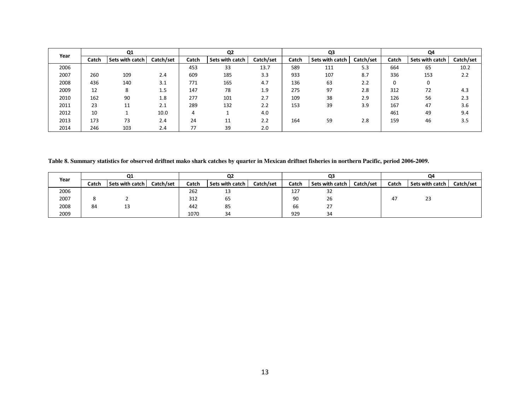| Year |       | Q <sub>1</sub>  |           |       | Q <sub>2</sub>  |           |       | Q <sub>3</sub>  |           |       | Q4              |           |
|------|-------|-----------------|-----------|-------|-----------------|-----------|-------|-----------------|-----------|-------|-----------------|-----------|
|      | Catch | Sets with catch | Catch/set | Catch | Sets with catch | Catch/set | Catch | Sets with catch | Catch/set | Catch | Sets with catch | Catch/set |
| 2006 |       |                 |           | 453   | 33              | 13.7      | 589   | 111             | 5.3       | 664   | 65              | 10.2      |
| 2007 | 260   | 109             | 2.4       | 609   | 185             | 3.3       | 933   | 107             | 8.7       | 336   | 153             | 2.2       |
| 2008 | 436   | 140             | 3.1       | 771   | 165             | 4.7       | 136   | 63              | 2.2       | 0     |                 |           |
| 2009 | 12    | 8               | 1.5       | 147   | 78              | 1.9       | 275   | 97              | 2.8       | 312   | 72              | 4.3       |
| 2010 | 162   | 90              | 1.8       | 277   | 101             | 2.7       | 109   | 38              | 2.9       | 126   | 56              | 2.3       |
| 2011 | 23    | 11              | 2.1       | 289   | 132             | 2.2       | 153   | 39              | 3.9       | 167   | 47              | 3.6       |
| 2012 | 10    |                 | 10.0      | 4     |                 | 4.0       |       |                 |           | 461   | 49              | 9.4       |
| 2013 | 173   | 73              | 2.4       | 24    | 11<br>ŦŦ        | 2.2       | 164   | 59              | 2.8       | 159   | 46              | 3.5       |
| 2014 | 246   | 103             | 2.4       | 77    | 39              | 2.0       |       |                 |           |       |                 |           |

**Table 8. Summary statistics for observed driftnet mako shark catches by quarter in Mexican driftnet fisheries in northern Pacific, period 2006-2009.** 

| Year |       | Q1              |           |       | Q <sub>2</sub>  |           |       | Q3              |           |       | Q4              |           |
|------|-------|-----------------|-----------|-------|-----------------|-----------|-------|-----------------|-----------|-------|-----------------|-----------|
|      | Catch | Sets with catch | Catch/set | Catch | Sets with catch | Catch/set | Catch | Sets with catch | Catch/set | Catch | Sets with catch | Catch/set |
| 2006 |       |                 |           | 262   | ں ہ             |           | 127   | 32              |           |       |                 |           |
| 2007 |       |                 |           | 312   | 65              |           | 90    | 26              |           | 47    | 23              |           |
| 2008 | 84    |                 |           | 442   | 85              |           | 66    | 27              |           |       |                 |           |
| 2009 |       |                 |           | 1070  | 34              |           | 929   | 34              |           |       |                 |           |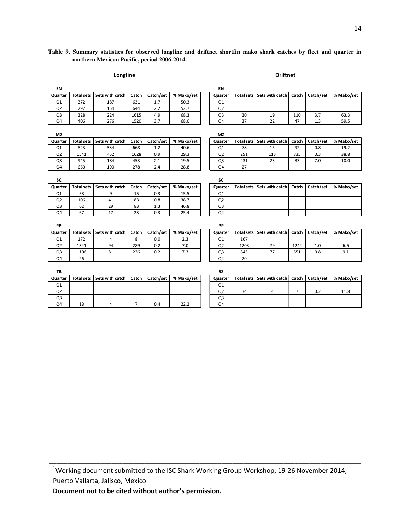### **Table 9. Summary statistics for observed longline and driftnet shortfin mako shark catches by fleet and quarter in northern Mexican Pacific, period 2006-2014.**

#### Longline Driftnet

| EN             |                   |                 |       |           |            | EN             |                   |                              |                |           |            |
|----------------|-------------------|-----------------|-------|-----------|------------|----------------|-------------------|------------------------------|----------------|-----------|------------|
| Quarter        | <b>Total sets</b> | Sets with catch | Catch | Catch/set | % Mako/set | Quarter        |                   | Total sets Sets with catch   | Catch          | Catch/set | % Mako/set |
| Q <sub>1</sub> | 372               | 187             | 631   | 1.7       | 50.3       | Q1             |                   |                              |                |           |            |
| Q <sub>2</sub> | 292               | 154             | 644   | 2.2       | 52.7       | Q <sub>2</sub> |                   |                              |                |           |            |
| Q <sub>3</sub> | 328               | 224             | 1615  | 4.9       | 68.3       | Q <sub>3</sub> | 30                | 19                           | 110            | 3.7       | 63.3       |
| Q4             | 406               | 276             | 1520  | 3.7       | 68.0       | Q4             | 37                | 22                           | 47             | 1.3       | 59.5       |
| <b>MZ</b>      |                   |                 |       |           |            | <b>MZ</b>      |                   |                              |                |           |            |
| Quarter        | <b>Total sets</b> | Sets with catch | Catch | Catch/set | % Mako/set | Quarter        |                   | Total sets   Sets with catch | Catch          | Catch/set | % Mako/set |
| Q1             | 823               | 334             | 668   | 1.2       | 40.6       | Q1             | 78                | 15                           | 92             | 0.8       | 19.2       |
| Q <sub>2</sub> | 1541              | 452             | 1628  | 0.9       | 29.3       | Q <sub>2</sub> | 291               | 113                          | 835            | 0.3       | 38.8       |
| Q <sub>3</sub> | 945               | 184             | 453   | 2.1       | 19.5       | Q <sub>3</sub> | 231               | 23                           | 33             | 7.0       | 10.0       |
| Q4             | 660               | 190             | 278   | 2.4       | 28.8       | Q4             | 27                |                              |                |           |            |
| SC             |                   |                 |       |           |            | SC             |                   |                              |                |           |            |
| Quarter        | <b>Total sets</b> | Sets with catch | Catch | Catch/set | % Mako/set | Quarter        | <b>Total sets</b> | Sets with catch              | Catch          | Catch/set | % Mako/set |
| Q <sub>1</sub> | 58                | 9               | 15    | 0.3       | 15.5       | Q1             |                   |                              |                |           |            |
| Q <sub>2</sub> | 106               | 41              | 83    | 0.8       | 38.7       | Q <sub>2</sub> |                   |                              |                |           |            |
| Q <sub>3</sub> | 62                | 29              | 83    | 1.3       | 46.8       | Q <sub>3</sub> |                   |                              |                |           |            |
| Q4             | 67                | 17              | 23    | 0.3       | 25.4       | Q4             |                   |                              |                |           |            |
| PP             |                   |                 |       |           |            | PP             |                   |                              |                |           |            |
| Quarter        | <b>Total sets</b> | Sets with catch | Catch | Catch/set | % Mako/set | Quarter        |                   | Total sets Sets with catch   | Catch          | Catch/set | % Mako/set |
| Q1             | 172               | 4               | 8     | 0.0       | 2.3        | Q1             | 167               |                              |                |           |            |
| Q <sub>2</sub> | 1341              | 94              | 289   | 0.2       | 7.0        | Q <sub>2</sub> | 1203              | 79                           | 1244           | 1.0       | 6.6        |
| Q3             | 1106              | 81              | 226   | 0.2       | 7.3        | Q <sub>3</sub> | 845               | 77                           | 651            | 0.8       | 9.1        |
| Q4             | 26                |                 |       |           |            | Q4             | 20                |                              |                |           |            |
| TB             |                   |                 |       |           |            | <b>SZ</b>      |                   |                              |                |           |            |
| Quarter        | <b>Total sets</b> | Sets with catch | Catch | Catch/set | % Mako/set | Quarter        | <b>Total sets</b> | Sets with catch              | Catch          | Catch/set | % Mako/set |
| Q1             |                   |                 |       |           |            | Q1             |                   |                              |                |           |            |
| Q <sub>2</sub> |                   |                 |       |           |            | Q <sub>2</sub> | 34                | 4                            | $\overline{7}$ | 0.2       | 11.8       |
| Q3             |                   |                 |       |           |            | Q <sub>3</sub> |                   |                              |                |           |            |
| Q4             | 18                | 4               | 7     | 0.4       | 22.2       | Q4             |                   |                              |                |           |            |

<sup>1</sup>Working document submitted to the ISC Shark Working Group Workshop, 19-26 November 2014, Puerto Vallarta, Jalisco, Mexico

\_\_\_\_\_\_\_\_\_\_\_\_\_\_\_\_\_\_\_\_\_\_\_\_\_\_\_\_\_\_\_\_\_\_\_\_\_\_\_\_\_\_\_\_\_\_\_\_\_\_\_\_\_\_\_\_\_\_\_\_\_\_\_\_\_\_\_\_\_\_\_\_\_\_\_\_\_\_\_\_\_\_\_\_\_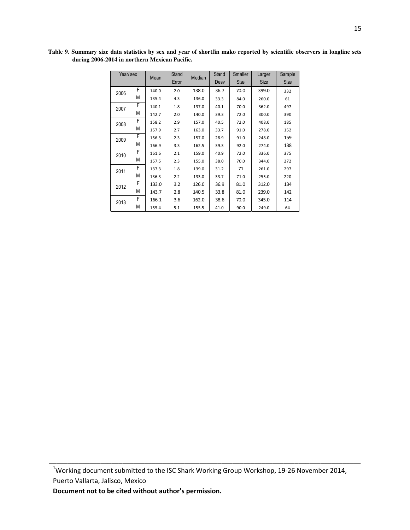| Year/sex |   | Mean  | Stand<br>Error | Median | Stand<br>Desy | Smaller<br>Size | Larger<br>Size | Sample<br>Size |
|----------|---|-------|----------------|--------|---------------|-----------------|----------------|----------------|
| 2006     | F | 140.0 | 2.0            | 138.0  | 36.7          | 70.0            | 399.0          | 332            |
|          | М | 135.4 | 4.3            | 136.0  | 33.3          | 84.0            | 260.0          | 61             |
| 2007     | F | 140.1 | 1.8            | 137.0  | 40.1          | 70.0            | 362.0          | 497            |
|          | М | 142.7 | 2.0            | 140.0  | 39.3          | 72.0            | 300.0          | 390            |
| 2008     | F | 158.2 | 2.9            | 157.0  | 40.5          | 72.0            | 408.0          | 185            |
|          | М | 157.9 | 2.7            | 163.0  | 33.7          | 91.0            | 278.0          | 152            |
| 2009     | F | 156.3 | 2.3            | 157.0  | 28.9          | 91.0            | 248.0          | 159            |
|          | М | 166.9 | 3.3            | 162.5  | 39.3          | 92.0            | 274.0          | 138            |
| 2010     | F | 161.6 | 2.1            | 159.0  | 40.9          | 72.0            | 336.0          | 375            |
|          | М | 157.5 | 2.3            | 155.0  | 38.0          | 70.0            | 344.0          | 272            |
| 2011     | F | 137.3 | 1.8            | 139.0  | 31.2          | 71              | 261.0          | 297            |
|          | М | 136.3 | 2.2            | 133.0  | 33.7          | 71.0            | 255.0          | 220            |
| 2012     | F | 133.0 | 3.2            | 126.0  | 36.9          | 81.0            | 312.0          | 134            |
|          | М | 143.7 | 2.8            | 140.5  | 33.8          | 81.0            | 239.0          | 142            |
| 2013     | F | 166.1 | 3.6            | 162.0  | 38.6          | 70.0            | 345.0          | 114            |
|          | М | 155.4 | 5.1            | 155.5  | 41.0          | 90.0            | 249.0          | 64             |

**Table 9. Summary size data statistics by sex and year of shortfin mako reported by scientific observers in longline sets during 2006-2014 in northern Mexican Pacific.** 

<sup>1</sup>Working document submitted to the ISC Shark Working Group Workshop, 19-26 November 2014, Puerto Vallarta, Jalisco, Mexico

\_\_\_\_\_\_\_\_\_\_\_\_\_\_\_\_\_\_\_\_\_\_\_\_\_\_\_\_\_\_\_\_\_\_\_\_\_\_\_\_\_\_\_\_\_\_\_\_\_\_\_\_\_\_\_\_\_\_\_\_\_\_\_\_\_\_\_\_\_\_\_\_\_\_\_\_\_\_\_\_\_\_\_\_\_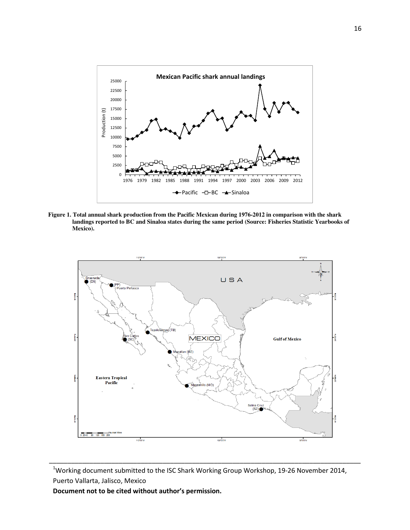

**Figure 1. Total annual shark production from the Pacific Mexican during 1976-2012 in comparison with the shark landings reported to BC and Sinaloa states during the same period (Source: Fisheries Statistic Yearbooks of Mexico).** 



<sup>&</sup>lt;sup>1</sup>Working document submitted to the ISC Shark Working Group Workshop, 19-26 November 2014, Puerto Vallarta, Jalisco, Mexico

\_\_\_\_\_\_\_\_\_\_\_\_\_\_\_\_\_\_\_\_\_\_\_\_\_\_\_\_\_\_\_\_\_\_\_\_\_\_\_\_\_\_\_\_\_\_\_\_\_\_\_\_\_\_\_\_\_\_\_\_\_\_\_\_\_\_\_\_\_\_\_\_\_\_\_\_\_\_\_\_\_\_\_\_\_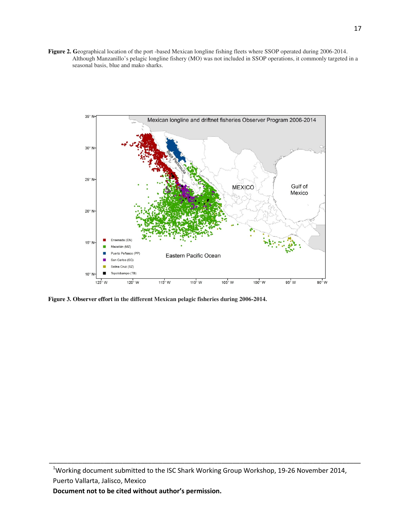**Figure 2. G**eographical location of the port -based Mexican longline fishing fleets where SSOP operated during 2006-2014. Although Manzanillo's pelagic longline fishery (MO) was not included in SSOP operations, it commonly targeted in a seasonal basis, blue and mako sharks.



**Figure 3. Observer effort in the different Mexican pelagic fisheries during 2006-2014.**

\_\_\_\_\_\_\_\_\_\_\_\_\_\_\_\_\_\_\_\_\_\_\_\_\_\_\_\_\_\_\_\_\_\_\_\_\_\_\_\_\_\_\_\_\_\_\_\_\_\_\_\_\_\_\_\_\_\_\_\_\_\_\_\_\_\_\_\_\_\_\_\_\_\_\_\_\_\_\_\_\_\_\_\_\_

<sup>&</sup>lt;sup>1</sup>Working document submitted to the ISC Shark Working Group Workshop, 19-26 November 2014, Puerto Vallarta, Jalisco, Mexico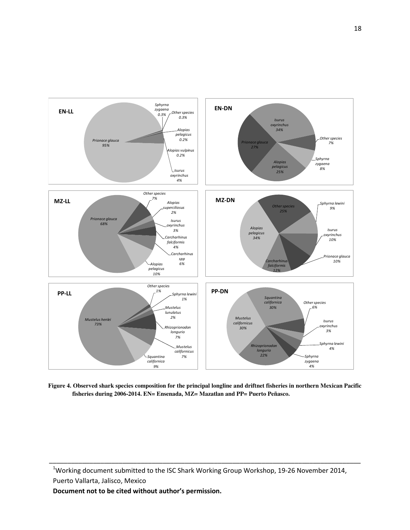

**Figure 4. Observed shark species composition for the principal longline and driftnet fisheries in northern Mexican Pacific fisheries during 2006-2014. EN= Ensenada, MZ= Mazatlan and PP= Puerto Peñasco.** 

<sup>1</sup>Working document submitted to the ISC Shark Working Group Workshop, 19-26 November 2014, Puerto Vallarta, Jalisco, Mexico

\_\_\_\_\_\_\_\_\_\_\_\_\_\_\_\_\_\_\_\_\_\_\_\_\_\_\_\_\_\_\_\_\_\_\_\_\_\_\_\_\_\_\_\_\_\_\_\_\_\_\_\_\_\_\_\_\_\_\_\_\_\_\_\_\_\_\_\_\_\_\_\_\_\_\_\_\_\_\_\_\_\_\_\_\_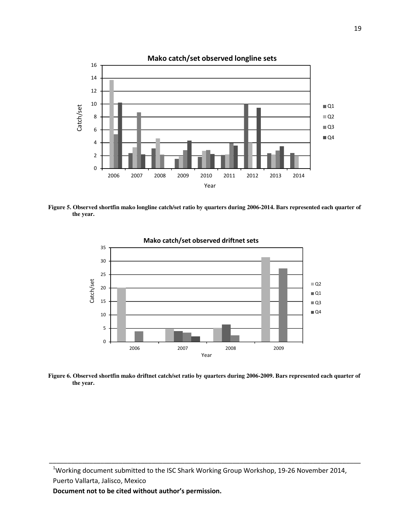

**Figure 5. Observed shortfin mako longline catch/set ratio by quarters during 2006-2014. Bars represented each quarter of the year.** 



Mako catch/set observed driftnet sets

**Figure 6. Observed shortfin mako driftnet catch/set ratio by quarters during 2006-2009. Bars represented each quarter of the year.** 

<sup>1</sup>Working document submitted to the ISC Shark Working Group Workshop, 19-26 November 2014, Puerto Vallarta, Jalisco, Mexico

\_\_\_\_\_\_\_\_\_\_\_\_\_\_\_\_\_\_\_\_\_\_\_\_\_\_\_\_\_\_\_\_\_\_\_\_\_\_\_\_\_\_\_\_\_\_\_\_\_\_\_\_\_\_\_\_\_\_\_\_\_\_\_\_\_\_\_\_\_\_\_\_\_\_\_\_\_\_\_\_\_\_\_\_\_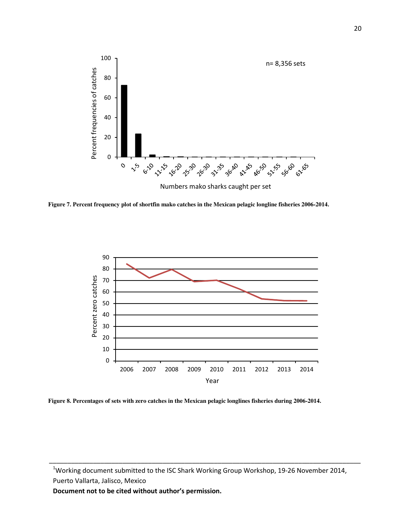

**Figure 7. Percent frequency plot of shortfin mako catches in the Mexican pelagic longline fisheries 2006-2014.** 



**Figure 8. Percentages of sets with zero catches in the Mexican pelagic longlines fisheries during 2006-2014.** 

Working document submitted to the ISC Shark Working Group Workshop, 19-26 November 2014, Puerto Vallarta, Jalisco, Mexico

\_\_\_\_\_\_\_\_\_\_\_\_\_\_\_\_\_\_\_\_\_\_\_\_\_\_\_\_\_\_\_\_\_\_\_\_\_\_\_\_\_\_\_\_\_\_\_\_\_\_\_\_\_\_\_\_\_\_\_\_\_\_\_\_\_\_\_\_\_\_\_\_\_\_\_\_\_\_\_\_\_\_\_\_\_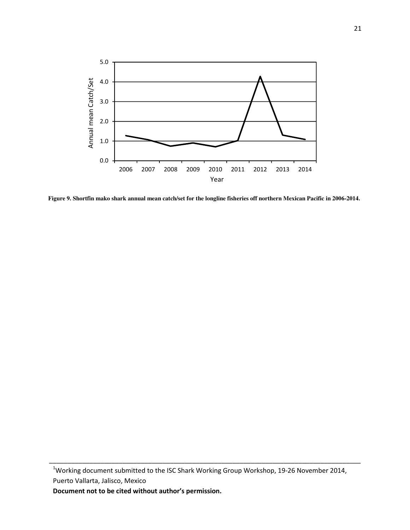

**Figure 9. Shortfin mako shark annual mean catch/set for the longline fisheries off northern Mexican Pacific in 2006-2014.** 

<sup>&</sup>lt;sup>1</sup>Working document submitted to the ISC Shark Working Group Workshop, 19-26 November 2014, Puerto Vallarta, Jalisco, Mexico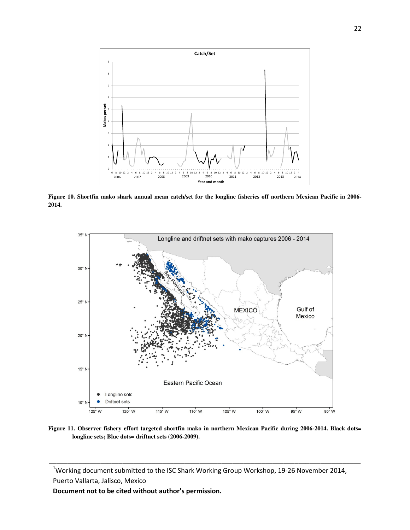

**Figure 10. Shortfin mako shark annual mean catch/set for the longline fisheries off northern Mexican Pacific in 2006- 2014.** 



**Figure 11. Observer fishery effort targeted shortfin mako in northern Mexican Pacific during 2006-2014. Black dots= longline sets; Blue dots= driftnet sets (2006-2009).** 

<sup>&</sup>lt;sup>1</sup>Working document submitted to the ISC Shark Working Group Workshop, 19-26 November 2014, Puerto Vallarta, Jalisco, Mexico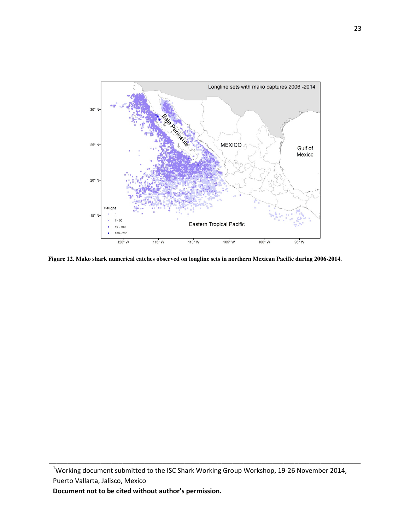

**Figure 12. Mako shark numerical catches observed on longline sets in northern Mexican Pacific during 2006-2014.** 

<sup>&</sup>lt;sup>1</sup>Working document submitted to the ISC Shark Working Group Workshop, 19-26 November 2014, Puerto Vallarta, Jalisco, Mexico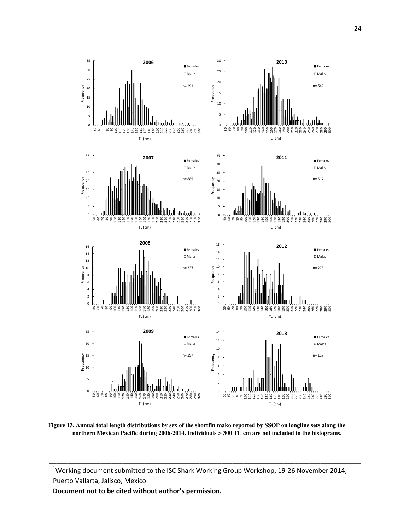

**Figure 13. Annual total length distributions by sex of the shortfin mako reported by SSOP on longline sets along the northern Mexican Pacific during 2006-2014. Individuals > 300 TL cm are not included in the histograms.**

<sup>&</sup>lt;sup>1</sup>Working document submitted to the ISC Shark Working Group Workshop, 19-26 November 2014, Puerto Vallarta, Jalisco, Mexico